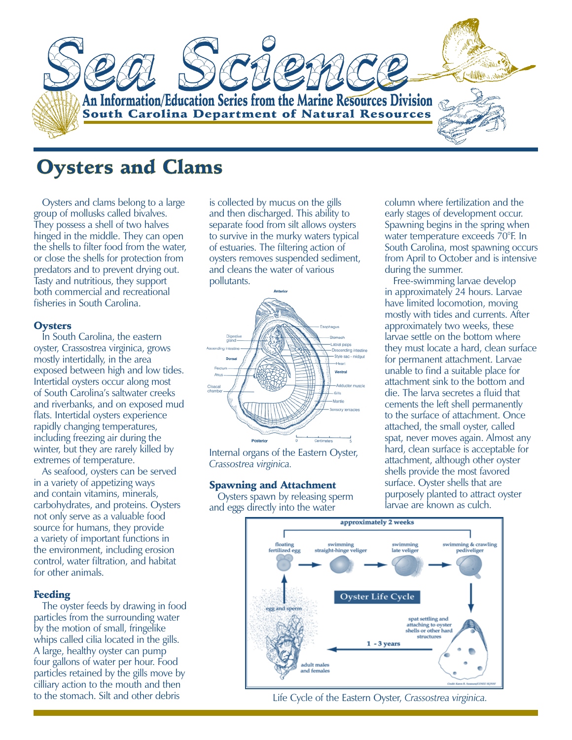

# **Oysters and Clams**

Oysters and clams belong to a large group of mollusks called bivalves. They possess a shell of two halves hinged in the middle. They can open the shells to filter food from the water, or close the shells for protection from predators and to prevent drying out. Tasty and nutritious, they support both commercial and recreational fisheries in South Carolina.

#### **Oysters**

In South Carolina, the eastern oyster, Crassostrea virginica, grows mostly intertidally, in the area exposed between high and low tides. Intertidal oysters occur along most of South Carolina's saltwater creeks and riverbanks, and on exposed mud flats. Intertidal oysters experience rapidly changing temperatures, including freezing air during the winter, but they are rarely killed by extremes of temperature.

As seafood, oysters can be served in a variety of appetizing ways and contain vitamins, minerals, carbohydrates, and proteins. Oysters not only serve as a valuable food source for humans, they provide a variety of important functions in the environment, including erosion control, water filtration, and habitat for other animals.

#### Feeding

The oyster feeds by drawing in food particles from the surrounding water by the motion of small, fringelike whips called cilia located in the gills. A large, healthy oyster can pump four gallons of water per hour. Food particles retained by the gills move by cilliary action to the mouth and then to the stomach. Silt and other debris

is collected by mucus on the gills and then discharged. This ability to separate food from silt allows oysters to survive in the murky waters typical of estuaries. The filtering action of oysters removes suspended sediment, and cleans the water of various pollutants.



Internal organs of the Eastern Oyster, *Crassostrea virginica.*

#### Spawning and Attachment

Oysters spawn by releasing sperm and eggs directly into the water

column where fertilization and the early stages of development occur. Spawning begins in the spring when water temperature exceeds 70°F. In South Carolina, most spawning occurs from April to October and is intensive during the summer.

Free-swimming larvae develop in approximately 24 hours. Larvae have limited locomotion, moving mostly with tides and currents. After approximately two weeks, these larvae settle on the bottom where they must locate a hard, clean surface for permanent attachment. Larvae unable to find a suitable place for attachment sink to the bottom and die. The larva secretes a fluid that cements the left shell permanently to the surface of attachment. Once attached, the small oyster, called spat, never moves again. Almost any hard, clean surface is acceptable for attachment, although other oyster shells provide the most favored surface. Oyster shells that are purposely planted to attract oyster larvae are known as culch.



Life Cycle of the Eastern Oyster, *Crassostrea virginica.*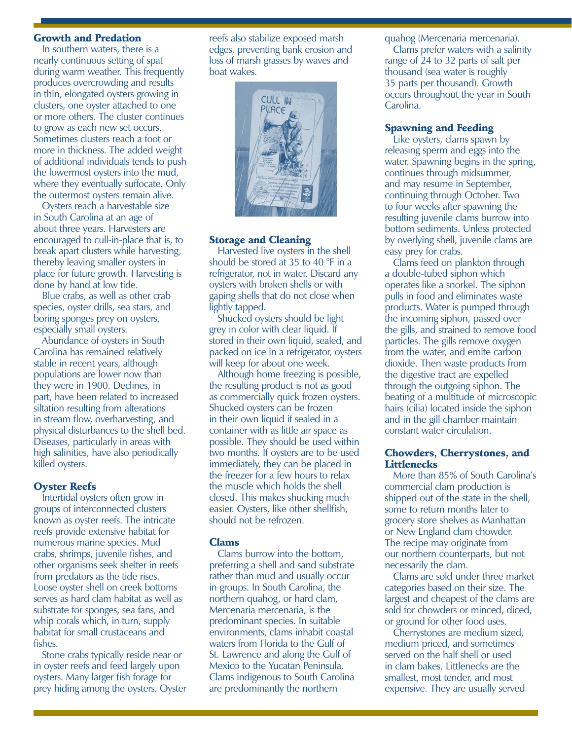## Growth and Predation

In southern waters, there is a nearly continuous setting of spat during warm weather. This frequently produces overcrowding and results in thin, elongated oysters growing in clusters, one oyster attached to one or more others. The cluster continues to grow as each new set occurs. Sometimes clusters reach a foot or more in thickness. The added weight of additional individuals tends to push the lowermost oysters into the mud, where they eventually suffocate. Only the outermost oysters remain alive.

Oysters reach a harvestable size in South Carolina at an age of about three years. Harvesters are encouraged to cull-in-place that is, to break apart clusters while harvesting, thereby leaving smaller oysters in place for future growth. Harvesting is done by hand at low tide.

Blue crabs, as well as other crab species, oyster drills, sea stars, and boring sponges prey on oysters, especially small oysters.

Abundance of oysters in South Carolina has remained relatively stable in recent years, although populations are lower now than they were in 1900. Declines, in part, have been related to increased siltation resulting from alterations in stream flow, overharvesting, and physical disturbances to the shell bed. Diseases, particularly in areas with high salinities, have also periodically killed oysters.

## Oyster Reefs

Intertidal oysters often grow in groups of interconnected clusters known as oyster reefs. The intricate reefs provide extensive habitat for numerous marine species. Mud crabs, shrimps, juvenile fishes, and other organisms seek shelter in reefs from predators as the tide rises. Loose oyster shell on creek bottoms serves as hard clam habitat as well as substrate for sponges, sea fans, and whip corals which, in turn, supply habitat for small crustaceans and fishes.

Stone crabs typically reside near or in oyster reefs and feed largely upon oysters. Many larger fish forage for prey hiding among the oysters. Oyster

reefs also stabilize exposed marsh edges, preventing bank erosion and loss of marsh grasses by waves and boat wakes.



#### Storage and Cleaning

Harvested live oysters in the shell should be stored at 35 to 40 °F in a refrigerator, not in water. Discard any oysters with broken shells or with gaping shells that do not close when lightly tapped.

Shucked oysters should be light grey in color with clear liquid. If stored in their own liquid, sealed, and packed on ice in a refrigerator, oysters will keep for about one week.

Although home freezing is possible, the resulting product is not as good as commercially quick frozen oysters. Shucked oysters can be frozen in their own liquid if sealed in a container with as little air space as possible. They should be used within two months. If oysters are to be used immediately, they can be placed in the freezer for a few hours to relax the muscle which holds the shell closed. This makes shucking much easier. Oysters, like other shellfish, should not be refrozen.

#### Clams

Clams burrow into the bottom, preferring a shell and sand substrate rather than mud and usually occur in groups. In South Carolina, the northern quahog, or hard clam, Mercenaria mercenaria, is the predominant species. In suitable environments, clams inhabit coastal waters from Florida to the Gulf of St. Lawrence and along the Gulf of Mexico to the Yucatan Peninsula. Clams indigenous to South Carolina are predominantly the northern

quahog (Mercenaria mercenaria).

Clams prefer waters with a salinity range of 24 to 32 parts of salt per thousand (sea water is roughly 35 parts per thousand). Growth occurs throughout the year in South Carolina.

## Spawning and Feeding

Like oysters, clams spawn by releasing sperm and eggs into the water. Spawning begins in the spring, continues through midsummer, and may resume in September, continuing through October. Two to four weeks after spawning the resulting juvenile clams burrow into bottom sediments. Unless protected by overlying shell, juvenile clams are easy prey for crabs.

Clams feed on plankton through a double-tubed siphon which operates like a snorkel. The siphon pulls in food and eliminates waste products. Water is pumped through the incoming siphon, passed over the gills, and strained to remove food particles. The gills remove oxygen from the water, and emite carbon dioxide. Then waste products from the digestive tract are expelled through the outgoing siphon. The beating of a multitude of microscopic hairs (cilia) located inside the siphon and in the gill chamber maintain constant water circulation.

## Chowders, Cherrystones, and **Littlenecks**

More than 85% of South Carolina's commercial clam production is shipped out of the state in the shell, some to return months later to grocery store shelves as Manhattan or New England clam chowder. The recipe may originate from our northern counterparts, but not necessarily the clam.

Clams are sold under three market categories based on their size. The largest and cheapest of the clams are sold for chowders or minced, diced, or ground for other food uses.

Cherrystones are medium sized, medium priced, and sometimes served on the half shell or used in clam bakes. Littlenecks are the smallest, most tender, and most expensive. They are usually served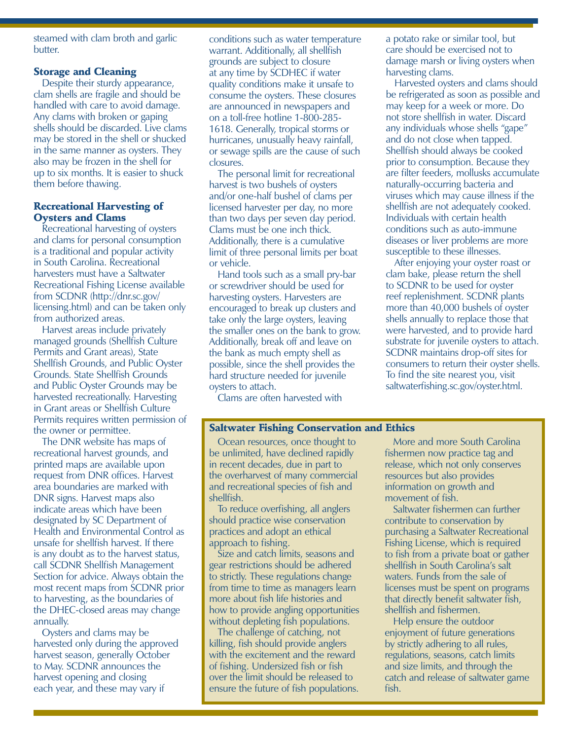steamed with clam broth and garlic butter.

## Storage and Cleaning

Despite their sturdy appearance, clam shells are fragile and should be handled with care to avoid damage. Any clams with broken or gaping shells should be discarded. Live clams may be stored in the shell or shucked in the same manner as oysters. They also may be frozen in the shell for up to six months. It is easier to shuck them before thawing.

#### Recreational Harvesting of Oysters and Clams

Recreational harvesting of oysters and clams for personal consumption is a traditional and popular activity in South Carolina. Recreational harvesters must have a Saltwater Recreational Fishing License available from SCDNR (http://dnr.sc.gov/ licensing.html) and can be taken only from authorized areas.

Harvest areas include privately managed grounds (Shellfish Culture Permits and Grant areas), State Shellfish Grounds, and Public Oyster Grounds. State Shellfish Grounds and Public Oyster Grounds may be harvested recreationally. Harvesting in Grant areas or Shellfish Culture Permits requires written permission of the owner or permittee.

The DNR website has maps of recreational harvest grounds, and printed maps are available upon request from DNR offices. Harvest area boundaries are marked with DNR signs. Harvest maps also indicate areas which have been designated by SC Department of Health and Environmental Control as unsafe for shellfish harvest. If there is any doubt as to the harvest status, call SCDNR Shellfish Management Section for advice. Always obtain the most recent maps from SCDNR prior to harvesting, as the boundaries of the DHEC-closed areas may change annually.

Oysters and clams may be harvested only during the approved harvest season, generally October to May. SCDNR announces the harvest opening and closing each year, and these may vary if

conditions such as water temperature warrant. Additionally, all shellfish grounds are subject to closure at any time by SCDHEC if water quality conditions make it unsafe to consume the oysters. These closures are announced in newspapers and on a toll-free hotline 1-800-285- 1618. Generally, tropical storms or hurricanes, unusually heavy rainfall, or sewage spills are the cause of such closures.

The personal limit for recreational harvest is two bushels of oysters and/or one-half bushel of clams per licensed harvester per day, no more than two days per seven day period. Clams must be one inch thick. Additionally, there is a cumulative limit of three personal limits per boat or vehicle.

Hand tools such as a small pry-bar or screwdriver should be used for harvesting oysters. Harvesters are encouraged to break up clusters and take only the large oysters, leaving the smaller ones on the bank to grow. Additionally, break off and leave on the bank as much empty shell as possible, since the shell provides the hard structure needed for juvenile oysters to attach.

Clams are often harvested with

## Saltwater Fishing Conservation and Ethics

Ocean resources, once thought to be unlimited, have declined rapidly in recent decades, due in part to the overharvest of many commercial and recreational species of fish and shellfish.

To reduce overfishing, all anglers should practice wise conservation practices and adopt an ethical approach to fishing.

Size and catch limits, seasons and gear restrictions should be adhered to strictly. These regulations change from time to time as managers learn more about fish life histories and how to provide angling opportunities without depleting fish populations.

The challenge of catching, not killing, fish should provide anglers with the excitement and the reward of fishing. Undersized fish or fish over the limit should be released to ensure the future of fish populations. a potato rake or similar tool, but care should be exercised not to damage marsh or living oysters when harvesting clams.

Harvested oysters and clams should be refrigerated as soon as possible and may keep for a week or more. Do not store shellfish in water. Discard any individuals whose shells "gape" and do not close when tapped. Shellfish should always be cooked prior to consumption. Because they are filter feeders, mollusks accumulate naturally-occurring bacteria and viruses which may cause illness if the shellfish are not adequately cooked. Individuals with certain health conditions such as auto-immune diseases or liver problems are more susceptible to these illnesses.

After enjoying your oyster roast or clam bake, please return the shell to SCDNR to be used for oyster reef replenishment. SCDNR plants more than 40,000 bushels of oyster shells annually to replace those that were harvested, and to provide hard substrate for juvenile oysters to attach. SCDNR maintains drop-off sites for consumers to return their oyster shells. To find the site nearest you, visit saltwaterfishing.sc.gov/oyster.html.

More and more South Carolina fishermen now practice tag and release, which not only conserves resources but also provides information on growth and movement of fish.

Saltwater fishermen can further contribute to conservation by purchasing a Saltwater Recreational Fishing License, which is required to fish from a private boat or gather shellfish in South Carolina's salt waters. Funds from the sale of licenses must be spent on programs that directly benefit saltwater fish, shellfish and fishermen.

Help ensure the outdoor enjoyment of future generations by strictly adhering to all rules, regulations, seasons, catch limits and size limits, and through the catch and release of saltwater game fish.